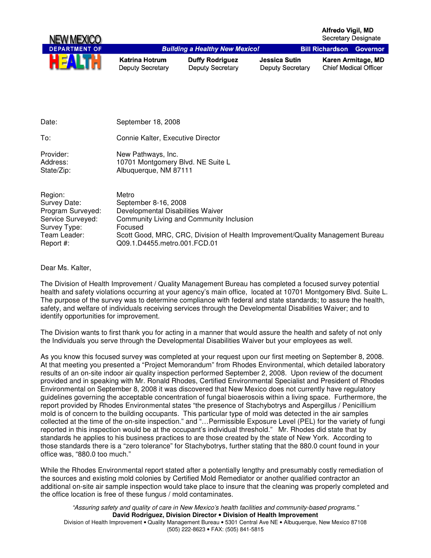

| Date:                               | September 18, 2008                                                               |
|-------------------------------------|----------------------------------------------------------------------------------|
| To:                                 | Connie Kalter, Executive Director                                                |
| Provider:<br>Address:<br>State/Zip: | New Pathways, Inc.<br>10701 Montgomery Blvd. NE Suite L<br>Albuquerque, NM 87111 |
| Region:<br>Survey Date:             | Metro<br>September 8-16, 2008                                                    |
| Program Surveyed:                   | Developmental Disabilities Waiver                                                |
| Service Surveyed:                   | Community Living and Community Inclusion                                         |
| Survey Type:                        | Focused                                                                          |
| Team Leader:                        | Scott Good, MRC, CRC, Division of Health Improvement/Quality Management Bureau   |
| Report #:                           | Q09.1.D4455.metro.001.FCD.01                                                     |

Dear Ms. Kalter,

The Division of Health Improvement / Quality Management Bureau has completed a focused survey potential health and safety violations occurring at your agency's main office, located at 10701 Montgomery Blvd. Suite L. The purpose of the survey was to determine compliance with federal and state standards; to assure the health, safety, and welfare of individuals receiving services through the Developmental Disabilities Waiver; and to identify opportunities for improvement.

The Division wants to first thank you for acting in a manner that would assure the health and safety of not only the Individuals you serve through the Developmental Disabilities Waiver but your employees as well.

As you know this focused survey was completed at your request upon our first meeting on September 8, 2008. At that meeting you presented a "Project Memorandum" from Rhodes Environmental, which detailed laboratory results of an on-site indoor air quality inspection performed September 2, 2008. Upon review of the document provided and in speaking with Mr. Ronald Rhodes, Certified Environmental Specialist and President of Rhodes Environmental on September 8, 2008 it was discovered that New Mexico does not currently have regulatory guidelines governing the acceptable concentration of fungal bioaerosois within a living space. Furthermore, the report provided by Rhodes Environmental states "the presence of Stachybotrys and Aspergillus / Penicillium mold is of concern to the building occupants. This particular type of mold was detected in the air samples collected at the time of the on-site inspection." and "…Permissible Exposure Level (PEL) for the variety of fungi reported in this inspection would be at the occupant's individual threshold." Mr. Rhodes did state that by standards he applies to his business practices to are those created by the state of New York. According to those standards there is a "zero tolerance" for Stachybotrys, further stating that the 880.0 count found in your office was, "880.0 too much."

While the Rhodes Environmental report stated after a potentially lengthy and presumably costly remediation of the sources and existing mold colonies by Certified Mold Remediator or another qualified contractor an additional on-site air sample inspection would take place to insure that the cleaning was properly completed and the office location is free of these fungus / mold contaminates.

"Assuring safety and quality of care in New Mexico's health facilities and community-based programs." **David Rodriguez, Division Director** • **Division of Health Improvement**  Division of Health Improvement • Quality Management Bureau • 5301 Central Ave NE • Albuquerque, New Mexico 87108 (505) 222-8623 • FAX: (505) 841-5815